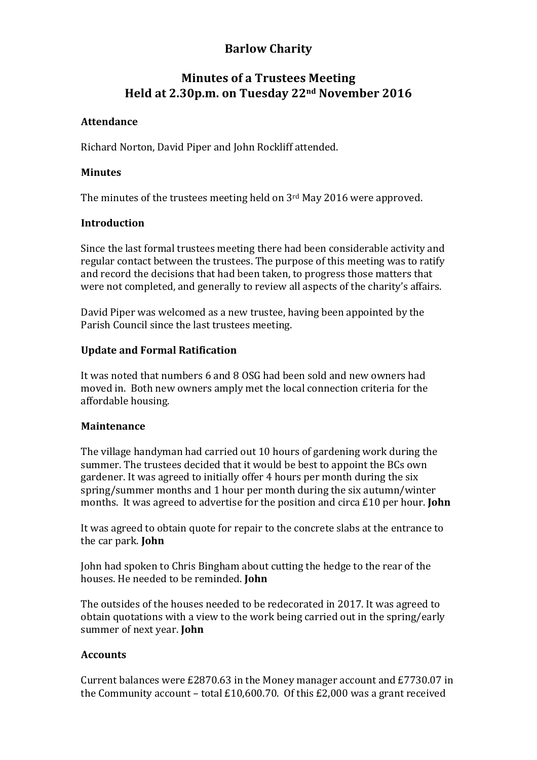# **Barlow Charity**

# **Minutes of a Trustees Meeting Held at 2.30p.m. on Tuesday 22nd November 2016**

## **Attendance**

Richard Norton, David Piper and John Rockliff attended.

### **Minutes**

The minutes of the trustees meeting held on  $3<sup>rd</sup>$  May 2016 were approved.

## **Introduction**

Since the last formal trustees meeting there had been considerable activity and regular contact between the trustees. The purpose of this meeting was to ratify and record the decisions that had been taken, to progress those matters that were not completed, and generally to review all aspects of the charity's affairs.

David Piper was welcomed as a new trustee, having been appointed by the Parish Council since the last trustees meeting.

## **Update and Formal Ratification**

It was noted that numbers 6 and 8 OSG had been sold and new owners had moved in. Both new owners amply met the local connection criteria for the affordable housing.

#### **Maintenance**

The village handyman had carried out 10 hours of gardening work during the summer. The trustees decided that it would be best to appoint the BCs own gardener. It was agreed to initially offer 4 hours per month during the six spring/summer months and 1 hour per month during the six autumn/winter months. It was agreed to advertise for the position and circa £10 per hour. **John** 

It was agreed to obtain quote for repair to the concrete slabs at the entrance to the car park. **John** 

John had spoken to Chris Bingham about cutting the hedge to the rear of the houses. He needed to be reminded. **John**

The outsides of the houses needed to be redecorated in 2017. It was agreed to obtain quotations with a view to the work being carried out in the spring/early summer of next year. **John** 

#### **Accounts**

Current balances were  $£2870.63$  in the Money manager account and  $£7730.07$  in the Community account - total £10,600.70. Of this £2,000 was a grant received